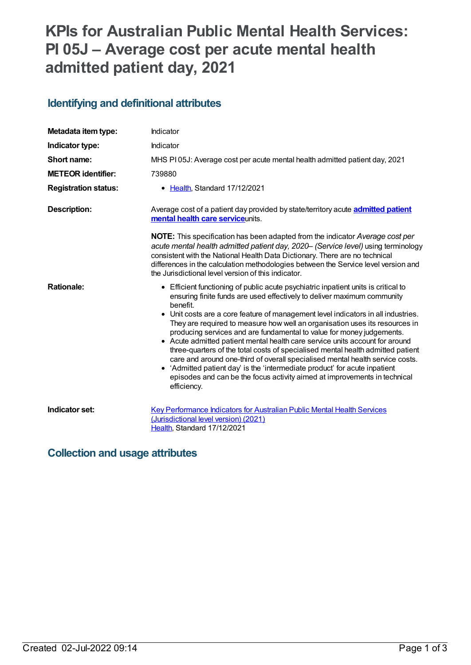# **KPIs for Australian Public Mental Health Services: PI 05J – Average cost per acute mental health admitted patient day, 2021**

### **Identifying and definitional attributes**

| Metadata item type:         | Indicator                                                                                                                                                                                                                                                                                                                                                                                                                                                                                                                                                                                                                                                                                                                                                                                                                                            |
|-----------------------------|------------------------------------------------------------------------------------------------------------------------------------------------------------------------------------------------------------------------------------------------------------------------------------------------------------------------------------------------------------------------------------------------------------------------------------------------------------------------------------------------------------------------------------------------------------------------------------------------------------------------------------------------------------------------------------------------------------------------------------------------------------------------------------------------------------------------------------------------------|
| Indicator type:             | Indicator                                                                                                                                                                                                                                                                                                                                                                                                                                                                                                                                                                                                                                                                                                                                                                                                                                            |
| Short name:                 | MHS PI05J: Average cost per acute mental health admitted patient day, 2021                                                                                                                                                                                                                                                                                                                                                                                                                                                                                                                                                                                                                                                                                                                                                                           |
| <b>METEOR identifier:</b>   | 739880                                                                                                                                                                                                                                                                                                                                                                                                                                                                                                                                                                                                                                                                                                                                                                                                                                               |
| <b>Registration status:</b> | • Health, Standard 17/12/2021                                                                                                                                                                                                                                                                                                                                                                                                                                                                                                                                                                                                                                                                                                                                                                                                                        |
| <b>Description:</b>         | Average cost of a patient day provided by state/territory acute <b>admitted patient</b><br>mental health care serviceunits.                                                                                                                                                                                                                                                                                                                                                                                                                                                                                                                                                                                                                                                                                                                          |
|                             | <b>NOTE:</b> This specification has been adapted from the indicator Average cost per<br>acute mental health admitted patient day, 2020- (Service level) using terminology<br>consistent with the National Health Data Dictionary. There are no technical<br>differences in the calculation methodologies between the Service level version and<br>the Jurisdictional level version of this indicator.                                                                                                                                                                                                                                                                                                                                                                                                                                                |
| <b>Rationale:</b>           | • Efficient functioning of public acute psychiatric inpatient units is critical to<br>ensuring finite funds are used effectively to deliver maximum community<br>benefit.<br>• Unit costs are a core feature of management level indicators in all industries.<br>They are required to measure how well an organisation uses its resources in<br>producing services and are fundamental to value for money judgements.<br>• Acute admitted patient mental health care service units account for around<br>three-quarters of the total costs of specialised mental health admitted patient<br>care and around one-third of overall specialised mental health service costs.<br>• 'Admitted patient day' is the 'intermediate product' for acute inpatient<br>episodes and can be the focus activity aimed at improvements in technical<br>efficiency. |
| Indicator set:              | Key Performance Indicators for Australian Public Mental Health Services<br>(Jurisdictional level version) (2021)<br>Health, Standard 17/12/2021                                                                                                                                                                                                                                                                                                                                                                                                                                                                                                                                                                                                                                                                                                      |

#### **Collection and usage attributes**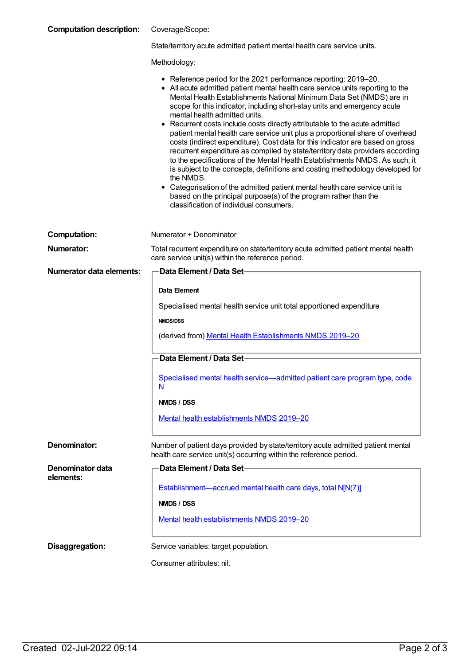| <b>Computation description:</b> | Coverage/Scope: |
|---------------------------------|-----------------|
|---------------------------------|-----------------|

State/territory acute admitted patient mental health care service units.

Methodology:

|  |  | • Reference period for the 2021 performance reporting: 2019-20. |
|--|--|-----------------------------------------------------------------|
|--|--|-----------------------------------------------------------------|

- All acute admitted patient mental health care service units reporting to the Mental Health Establishments National Minimum Data Set (NMDS) are in scope for this indicator, including short-stay units and emergency acute mental health admitted units.
- Recurrent costs include costs directly attributable to the acute admitted patient mental health care service unit plus a proportional share of overhead costs (indirect expenditure). Cost data for this indicator are based on gross recurrent expenditure as compiled by state/territory data providers according to the specifications of the Mental Health Establishments NMDS. As such, it is subject to the concepts, definitions and costing methodology developed for the NMDS.
- Categorisation of the admitted patient mental health care service unit is based on the principal purpose(s) of the program rather than the classification of individual consumers.

| <b>Computation:</b>                                                                                                                                                           | Numerator + Denominator                                                                                                                  |  |
|-------------------------------------------------------------------------------------------------------------------------------------------------------------------------------|------------------------------------------------------------------------------------------------------------------------------------------|--|
| <b>Numerator:</b>                                                                                                                                                             | Total recurrent expenditure on state/territory acute admitted patient mental health<br>care service unit(s) within the reference period. |  |
| <b>Numerator data elements:</b>                                                                                                                                               | Data Element / Data Set-                                                                                                                 |  |
|                                                                                                                                                                               | Data Element                                                                                                                             |  |
|                                                                                                                                                                               | Specialised mental health service unit total apportioned expenditure                                                                     |  |
|                                                                                                                                                                               | <b>NMDS/DSS</b>                                                                                                                          |  |
|                                                                                                                                                                               | (derived from) Mental Health Establishments NMDS 2019-20                                                                                 |  |
|                                                                                                                                                                               | Data Element / Data Set-                                                                                                                 |  |
|                                                                                                                                                                               | Specialised mental health service—admitted patient care program type, code<br>$\mathbf N$                                                |  |
|                                                                                                                                                                               | NMDS / DSS                                                                                                                               |  |
|                                                                                                                                                                               | Mental health establishments NMDS 2019-20                                                                                                |  |
| <b>Denominator:</b><br>Number of patient days provided by state/territory acute admitted patient mental<br>health care service unit(s) occurring within the reference period. |                                                                                                                                          |  |
| Denominator data                                                                                                                                                              | Data Element / Data Set-                                                                                                                 |  |
| elements:                                                                                                                                                                     | Establishment—accrued mental health care days, total N[N(7)]                                                                             |  |
|                                                                                                                                                                               | <b>NMDS / DSS</b>                                                                                                                        |  |
|                                                                                                                                                                               | Mental health establishments NMDS 2019-20                                                                                                |  |
| Disaggregation:                                                                                                                                                               | Service variables: target population.                                                                                                    |  |
|                                                                                                                                                                               | Consumer attributes: nil.                                                                                                                |  |